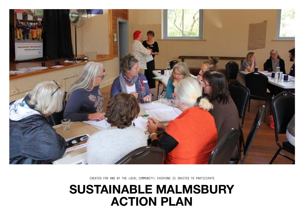CREATED FOR AND BY THE LOCAL COMMUNITY: EVERYONE IS INVITED TO PARTICIPATE



# SUSTAINABLE MALMSBURY ACTION PLAN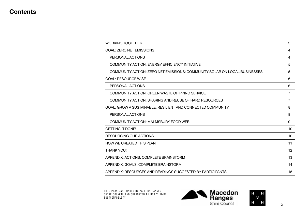### **Contents**

[WORKING TOGETHER](#page-2-0)

| WORKING TOGETHER                                                          | З               |
|---------------------------------------------------------------------------|-----------------|
| <b>GOAL: ZERO NET EMISSIONS</b>                                           | 4               |
| PERSONAL ACTIONS                                                          | 4               |
| COMMUNITY ACTION: ENERGY EFFICIENCY INITIATIVE                            | 5               |
| COMMUNITY ACTION: ZERO NET EMISSIONS: COMMUNITY SOLAR ON LOCAL BUSINESSES | 5               |
| GOAL: RESOURCE WISE                                                       | 6               |
| PERSONAL ACTIONS                                                          | 6               |
| <b>COMMUNITY ACTION: GREEN WASTE CHIPPING SERVICE</b>                     | $\overline{7}$  |
| COMMUNITY ACTION: SHARING AND REUSE OF HARD RESOURCES                     | $\overline{7}$  |
| GOAL: GROW A SUSTAINABLE, RESILIENT AND CONNECTED COMMUNITY               | 8               |
| PERSONAL ACTIONS                                                          | 8               |
| <b>COMMUNITY ACTION: MALMSBURY FOOD WEB</b>                               | 9               |
| <b>GETTING IT DONE!</b>                                                   | 10              |
| RESOURCING OUR ACTIONS                                                    | 10 <sub>1</sub> |
| <b>HOW WE CREATED THIS PLAN</b>                                           | 11              |
| THANK YOU!                                                                | 12              |
| APPENDIX: ACTIONS: COMPLETE BRAINSTORM                                    | 13              |
| APPENDIX: GOALS: COMPLETE BRAINSTORM                                      | 14              |
| APPENDIX: RESOURCES AND READINGS SUGGESTED BY PARTICIPANTS                | 15 <sub>1</sub> |
|                                                                           |                 |



THIS PLAN WAS FUNDED BY MACEDON RANGES SHIRE COUNCIL AND SUPPORTED BY HIP V. HYPE SUSTAINABILITY

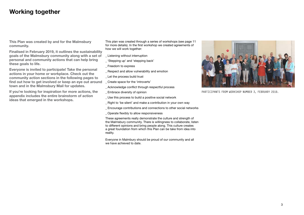This plan was created through a series of workshops (see page 11 for more details). In the first workshop we created agreements of how we will work together:

- \_ Listening without interruption
- \_ 'Stepping up' and 'stepping back'
- Freedom to express
- \_ Respect and allow vulnerability and emotion
- \_ Let the process build trust
- \_ Create space for the 'introverts'
- \_ Acknowledge conflict through respectful process
- \_ Embrace diversity of opinion
- Use this process to build a positive social network
- \_ Right to 'be silent' and make a contribution in your own way
- \_ Encourage contributions and connections to other social networks
- \_ Operate flexibly to allow responsiveness

These agreements really demonstrate the culture and strength of the Malmsbury community. There is willingness to collaborate, listen to different opinions and bring people along. This culture creates a great foundation from which this Plan can be take from idea into reality.

Everyone in Malmbury should be proud of our community and all we have achieved to date.



### <span id="page-2-0"></span>Working together

This Plan was created by and for the Malmsbury community.

Finalised in February 2019, it outlines the sustainability goals of the Malmsbury community along with a set of personal and community actions that can help bring these goals to life.

Everyone is invited to participate! Take the personal actions in your home or workplace. Check out the community action sections in the following pages to find out how to get involved or keep an eye out around town and in the Malmsbury Mail for updates.

If you're looking for inspiration for more actions, the appendix includes the entire brainstorm of action ideas that emerged in the workshops.

PARTICIPANTS FROM WORKSHOP NUMBER 3, FEBRUARY 2019.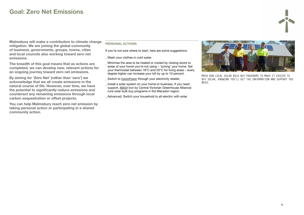### <span id="page-3-0"></span>Goal: Zero Net Emissions

#### PERSONAL ACTIONS

- \_ Wash your clothes in cold water.
- Minimise the area to be heated or cooled by closing doors to areas of your home you're not using – 'zoning' your home. Set your thermostat between 18°C and 20°C for living areas – every degree higher can increase your bill by up to 10 percent.
- Switch to [GreenPower](https://www.greenpower.gov.au/) through your electricity retailer.
- \_ Install a solar system on your home or business. If you need support, [MASH](http://mash.org.au/what-is-mash/) (run by Central Victorian Greenhouse Alliance) runs solar bulk buy programs in the Macedon region.
- Advanced: Switch your household to all-electric with solar.

If you're not sure where to start, here are some suggestions:

Malmsbury will make a contribution to climate change mitigation. We are joining the global community of business, governments, groups, towns, cities and local councils also working toward zero net emissions.

The breadth of this goal means that as actions are completed, we can develop new, relevant actions for an ongoing journey toward zero net emissions.

By aiming for 'Zero Net' (rather than 'zero') we acknowledge that we all create emissions in the natural course of life. However, over time, we have the potential to significantly reduce emissions and counteract any remaining emissions through local carbon sequestration or offset projects.

You can help Malmsbury reach zero net emission by taking personal action or participating in a shared community action.

#### MASH RUN LOCAL SOLAR BULK BUY PROGRAMS TO MAKE IT EASIER TO BUY SOLAR, KNOWING YOU'LL GET THE INFORMATION AND SUPPORT YOU



NEED.

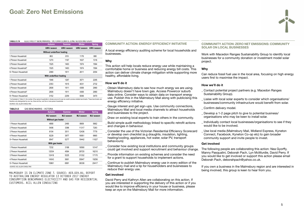### <span id="page-4-0"></span>Goal: Zero Net Emissions

#### COMMUNITY ACTION: ENERGY EFFICIENCY INITIATIVE

A local energy efficiency auditing scheme for local households and businesses.

#### Why

This action will help locals reduce energy use while maintaining a comfortable home or business and reducing energy bill costs. This action can deliver climate change mitigation while supporting more healthy, affordable living.

#### How we'll do it

- \_ Obtain Malmsbury data to see how much energy we are using. Malmsbury doesn't have town gas. Access Powercor suburb data online. Consider ways to obtain data on transport energy use. Publish this in the Malmsbury Mail along with publicising this energy efficiency initiative.
- Gauge interest and get sign-ups. Use community connections, Malmsbury Mail and local media channels to attract households and businesses to the project.
- Draw on existing local experts to train others in the community.
- \_ Build simple audit methodology linked to specific retrofit actions and changes in behaviour.
- \_ Consider the use of the Victorian Residential Efficiency Scorecard or develop own checklist (e.g draughts, insulation, lighting, heating/cooling, appliances, hot water, solar PV, transport behaviours)
- \_ Consider how existing local institutions and community groups could get involved and support recruitment and behaviour change.
- \_ Provide information on existing schemes and consider the need for a grant to support households to implement actions.
- \_ Continue to publish Malmsbury energy use in every edition of the Malmsbury mail and a tip for householders and businesses to reduce their energy use.

Liaise with local solar experts to consider which organisations/ businesses/community infrastructure would benefit from solar.

Develop a 1-2 page pitch to give to potential business/ organisations who may be keen to install solar.

#### Get involved

David Perry and Kathryn Allen are collaborating on this action. If you are interested in supporting the delivery of this action or if you would like to improve efficiency in your house or business, please keep an eye on the Malmsbury Mail for more information.

#### COMMUNITY ACTION: ZERO NET EMISSIONS: COMMUNITY SOLAR ON LOCAL BUSINESSES

Work with Macedon Ranges Sustainability Group to identify local businesses for a community donation or investment model solar

project.

#### Why

Can reduce fossil fuel use in the local area, focusing on high energy users first to maximise the impact.

#### How we'll do it

\_ Contact potential project partners (e.g. Macedon Ranges

- Sustainability Group).
- 
- Confirm delivery model.
- 
- would like to be involved.
- 

\_ Individually contact local businesses/organisations to see if they

\_ Use local media (Malmsbury Mail, Midland Express, Kyneton Connect, Facebook, Kyneton Co-op etc) to gain broader community support and invite people to invest.

#### Get involved

The following people are collaborating this action: Nea Gyorffy, Manny Pasqualini, Deborah Pach, Lyn McMurdie, David Perry. If you would like to get involved or support this action please email Deborah Pach, deborahpach@yahoo.co.uk.

If you own a business in the Malmsbury region and are interested in being involved, this group is keen to hear from you.



#### **TABLE 5.14** ELECTRICITY BENCHMARKS - VICTORIA CLIMATE ZONE SEVEN AND EIGHT

|                            | <b>Autumn</b>           | <b>Summer</b> | <b>Winter</b> | <b>Spring</b> |  |  |  |  |
|----------------------------|-------------------------|---------------|---------------|---------------|--|--|--|--|
|                            | kWh/season              | kWh/season    | kWh/season    | kWh/ season   |  |  |  |  |
| Without underfloor heating |                         |               |               |               |  |  |  |  |
| 1 Person Household         | 863                     | 819           | 1176          | 880           |  |  |  |  |
| 2 Person Household         | 1270                    | 1167          | 1637          | 1316          |  |  |  |  |
| 3 Person Household         | 1525                    | 1463          | 1974          | 1564          |  |  |  |  |
| 4 Person Household*        | 1525                    | 1463          | 1974          | 1564          |  |  |  |  |
| 5+ Person Household        | 2069                    | 1811          | 2611          | 2054          |  |  |  |  |
|                            | With underfloor heating |               |               |               |  |  |  |  |
| 1 Person Household         | 1946                    | 1267          | 3571          | 2295          |  |  |  |  |
| 2 Person Household         | 2353                    | 1615          | 4031          | 2732          |  |  |  |  |
| 3 Person Household         | 2608                    | 1911          | 4369          | 2980          |  |  |  |  |
| 4 Person Household*        | 2608                    | 1911          | 4369          | 2980          |  |  |  |  |
| 5+ Person Household        | 3152                    | 2259          | 5006          | 3470          |  |  |  |  |
|                            |                         |               |               |               |  |  |  |  |

\* As illustrated in Table 4.3, the number of four person households in climate zone six for was too small to produce reliable benchmarks. These benchmarks are therefore only distinguished by one, two, three and four, and five or more person households. *SOURCE: ACIL ALLEN CONSULTING*

5+ Person Household 3699 2506 5889 4169

|                               | <b>Autumn</b>   | <b>Summer</b> | Winter     | <b>Spring</b> |  |  |  |  |
|-------------------------------|-----------------|---------------|------------|---------------|--|--|--|--|
|                               | MJ/ season      | MJ/ season    | MJ/ season | MJ/ season    |  |  |  |  |
| Without gas heater            |                 |               |            |               |  |  |  |  |
| 1 Person Household            | 4890            | 2490          | 8909       | 5662          |  |  |  |  |
| 2 Person Household            | 5406            | 3396          | 11317      | 7283          |  |  |  |  |
| 3 Person Household            | 6104            | 3511          | 12436      | 7779          |  |  |  |  |
| 4 Person Household            | 8229            | 3977          | 16951      | 9865          |  |  |  |  |
| 5+ Person Household           | 9547            | 5277          | 19442      | 11027         |  |  |  |  |
|                               | With gas heater |               |            |               |  |  |  |  |
| 1 Person Household            | 7232            | 3188          | 18590      | 10147         |  |  |  |  |
| 2 Person Household            | 12034           | 4564          | 29720      | 16210         |  |  |  |  |
| 3 Person Household            | 12418           | 5225          | 31332      | 17170         |  |  |  |  |
| 4 Person Household            | 14543           | 5691          | 35847      | 19256         |  |  |  |  |
| 5+ Person Household           | 15861           | 6991          | 38338      | 20417         |  |  |  |  |
| SOURCE: ACIL ALLEN CONSULTING |                 |               |            |               |  |  |  |  |

MALMSBURY IS IN CLIMATE ZONE 7. SOURCE: AER.GOV.AU, REPORT therefore only distinguished by one, two, three and four, and five or more person households. TO AUSTRALIAN ENERGY REGULATOR 13 OCTOBER 2017 ENERGY CONSUMPTION BENCHMARKS ELECTRICITY AND GAS FOR RESIDENTIAL **CUSTOMERS. ACIL ALLEN CONSULTING** 

#### **TABLE 6.5** GAS BENCHMARKS – VICTORIA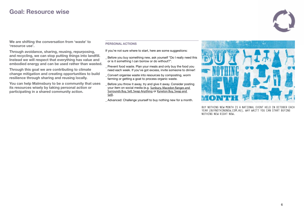### <span id="page-5-0"></span>Goal: Resource wise

#### PERSONAL ACTIONS

If you're not sure where to start, here are some suggestions:

- Before you buy something new, ask yourself "Do I really need this or is it something I can borrow or do without?".
- \_ Prevent food waste. Plan your meals and only buy the food you need each week. If you've got excess, invite someone to dinner!
- \_ Convert organise waste into resources by composting, worm farming or getting a goat to process organic waste.
- \_ Before you throw it away, try and give it away. Consider posting your item on social media (e.g. [Sunbury, Macedon Ranges and](https://www.facebook.com/groups/SunburyBSS/?ref=group_header)  [Surrounds Buy, Sell, Swap Anything](https://www.facebook.com/groups/SunburyBSS/?ref=group_header) or [Kyneton Buy, Swap and](https://www.facebook.com/groups/123414681051780/?ref=group_header)  [Sell](https://www.facebook.com/groups/123414681051780/?ref=group_header)).
- \_ Advanced: Challenge yourself to buy nothing new for a month.



We are shifting the conversation from 'waste' to 'resource use'.

Through avoidance, sharing, reusing, repurposing, and recycling, we can stop putting things into landfill. Instead we will respect that everything has value and embodied energy and can be used rather than wasted.

Through this goal we are contributing to climate change mitigation and creating opportunities to build resilience through sharing and reusing locally.

You can help Malmsbury to be a community that uses its resources wisely by taking personal action or participating in a shared community action.

> BUY NOTHING NEW MONTH IS A NATIONAL EVENT HELD IN OCTOBER EACH YEAR (BUYNOTHINGNEW.COM.AU). WHY WAIT? YOU CAN START BUYING NOTHING NEW RIGHT NOW.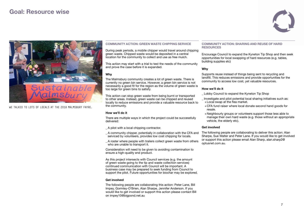### <span id="page-6-0"></span>Goal: Resource wise

#### COMMUNITY ACTION: SHARING AND REUSE OF HARD RESOURCES

Encourage Council to expand the Kyneton Tip Shop and then seek opportunities for local swapping of hard resources (e.g. tables, building supplies etc)

#### Why

- Investigate and pilot potential local sharing initiatives such as:
- +CFA fund raiser where local donate second hand goods for

Supports reuse instead of things being sent to recycling and landfill. This reduces emissions and provide opportunities for the community to access low cost, yet valuable resources.

#### How we'll do it

\_ Lobby Council to expand the Kyneton Tip Shop

- 
- +Local swap at the flea market. resale.
- vehicle, the elderly etc).

+Neighbourly groups or volunteers support those less able to manage their own hard waste (e.g. those without an appropriate

#### Get involved

The following people are collaborating to deliver this action: Alan Sharpe, Sue Walter and Peter Lane. If you would like to get involved or support this action please email Alan Sharp, alan.sharp2@ optusnet.com.au.



#### COMMUNITY ACTION: GREEN WASTE CHIPPING SERVICE

During peak periods, a mobile chipper would travel around chipping green waste. Chipped waste would be deposited in a central location for the community to collect and use as free mulch.

This action may start with a trial to test the needs of the community and prove the case before it is expanded.

#### Why

The Malmsbury community creates a lot of green waste. There is currently no green bin service. However, a green bin service is not necessarily a good fit for the region as the volume of green waste is too large for green bins to satisfy.

This action can stop green waste from being burnt or transported to other areas. Instead, green waste can be chipped and reused locally to reduce emissions and provide a valuable resource back to the community.

#### How we'll do it

There are multiple ways in which the project could be successfully delivered:

- A pilot with a local chipping contractor.
- \_ A community chipper, potentially in collaboration with the CFA and serviced by volunteers, provides low cost chipping for locals.
- \_ A roster where people with trailers collect green waste from others who are unable to transport it.

Consideration will need to be given to avoiding contamination to ensure a high-quality end product.

As this project intersects with Council services (e.g. the amount of green waste going to the tip and waste collection services) continued communication with Council will be important. A business case may be prepared to seek funding from Council to support the pilot. Future opportunities for biochar may be explored.

#### Get involved

The following people are collaborating this action: Peter Lane, Bill Impey, Gormley-O'Brien, Alan Sharpe, Jennifer Anderson. If you would like to get involved or support this action please contact Bill on impey10@bigpond.net.au



WE TALKED TO LOTS OF LOCALS AT THE 2018 MALMSBURY FAYRE.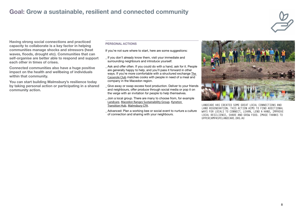### <span id="page-7-0"></span>Goal: Grow a sustainable, resilient and connected community

#### PERSONAL ACTIONS

If you're not sure where to start, here are some suggestions:

- If you don't already know them, visit your immediate and surrounding neighbours and introduce yourself.
- Ask and offer often. If you could do with a hand, ask for it. People are generally happy to help, and you'll pass it forward in other ways. If you're more comfortable with a structured exchange [The](https://www.casseroleclub.com/)  [Casserole Club](https://www.casseroleclub.com/) matches cooks with people in need of a meal and company in the Macedon region.
- \_ Give away or swap excess food production. Deliver to your friends and neighbours, offer produce through social media or pop it on the verge with an invitation for people to help themselves.
- \_ Join a local group. There are many to choose from, for example [Landcare](http://www.mrsc.vic.gov.au/Live-Work/Environment/Environment-Groups-Events/Landcare-Friends-and-Sustainability-Groups#section-1), [Macedon Ranges Sustainability Group](https://mrsg.org.au/), [Kyneton](https://kynetontransitionhub.com/)  [Transition Hub](https://kynetontransitionhub.com/), [Malmsbury CFA](http://www.malmsburycfa.com.au/).
- \_ Advanced: Plan a working bee or social event to nurture a culture of connection and sharing with your neighbours.



Having strong social connections and practiced capacity to collaborate is a key factor in helping communities manage shocks and stressors (heat waves, floods, drought etc). Communities that can self-organise are better able to respond and support each other in times of crises.

Connected communities also have a huge positive impact on the health and wellbeing of individuals within that community.

You can start building Malmsbury's resilience today by taking personal action or participating in a shared community action.

> LANDCARE HAS CREATED SOME GREAT LOCAL CONNECTIONS AND LAND REGENERATION. THIS ACTION AIMS TO FIND ADDITIONAL WAYS FOR LOCALS TO CONNECT, LEARN, LEND A HAND, IMPROVE LOCAL RESILIENCE, SHARE AND GROW FOOD. IMAGE THANKS TO UPPERCAMPASPELANDCARE.ORG.AU

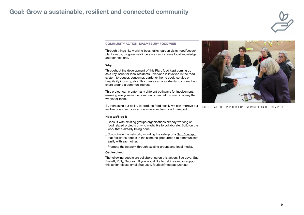### <span id="page-8-0"></span>Goal: Grow a sustainable, resilient and connected community

#### COMMUNITY ACTION: MALMSBURY FOOD WEB

Through things like working bees, talks, garden visits, food/seeds/ plant swaps, progressive dinners we can increase local knowledge and connections.

#### Why

Throughout the development of this Plan, food kept coming up as a key issue for local residents. Everyone is involved in the food system (producer, consumer, gardener, home cook, service or hospitality industry, etc). This creates an opportunity to connect and share around a common interest.

- \_ Consult with existing groups/organisations already working on food related projects or who might like to collaborate. Build on the work that's already being done.
- Co-ordinate the network, including the set-up of a Next Door app that facilitates people in the same neighbourhood to communicate easily with each other.
- Promote the network through existing groups and local media.

This project can create many different pathways for involvement, ensuring everyone in the community can get involved in a way that works for them.

By increasing our ability to produce food locally we can improve our resilience and reduce carbon emissions from food transport.

#### How we'll do it

#### Get involved

The following people are collaborating on this action: Sue Love, Sue Everett, Polly, Deborah. If you would like to get involved or support this action please email Sue Love, fourleaf@netspace.net.au.





PARTICIPATIONS FROM OUR FIRST WORKSHOP IN OCTOBER 2018.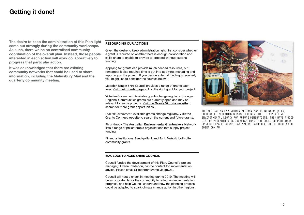### <span id="page-9-0"></span>Getting it done!

The desire to keep the administration of this Plan light came out strongly during the community workshops. As such, there we be no centralised community coordination of the overall plan. Instead, those people interested in each action will work collaboratively to progress that particular action.

It was acknowledged that there are existing community networks that could be used to share information, including the Malmsbury Mail and the quarterly community meeting.

#### RESOURCING OUR ACTIONS

Given the desire to keep administration light, first consider whether a grant is required or whether there is enough collaboration and skills-share to enable to provide to proceed without external funding.

Applying for grants can provide much needed resources, but remember it also requires time is put into applying, managing and reporting on the project. If you decide external funding is required, you might like to consider the sources below:

Macedon Ranges Shire Council: provides a range of grants each year. [Visit their grants page](http://www.mrsc.vic.gov.au/About-Council/Find-A-Grant) to find the right grant for your project.

Victorian Government: Available grants change regularly. Stronger Regional Communities grants are currently open and may be relevant for some projects. [Visit the Grants Victoria website](https://www.vic.gov.au/grants.html) to search for more grant opportunities.

Federal Government: Available grants change regularly. [Visit the](https://www.grants.gov.au/?event=public.home)  [Grants Connect website](https://www.grants.gov.au/?event=public.home) to search the current and future grants.

Philanthropy: The [Australian Environmental Grantmakers Network](https://aegn.org.au/for-grantseekers-old/funder-listing/)  lists a range of philanthropic organisations that supply project funding.

Financial institutions: [Bendigo Bank](https://www.bendigobank.com.au/community/community-funding) and [Bank Australia](https://bankaust.com.au/about-us/news/people/2018-customer-grants/) both offer community grants.

#### MACEDON RANGES SHIRE COUNCIL

Council funded the development of this Plan. Council's project manager, Silvana Predebon, can be contact for implementation advice. Please email SPredebon@mrsc.vic.gov.au.

Council will host a check in meeting during 2019. The meeting will be an opportunity for the community to reflect on implementation progress, and help Council understand how the planning process could be adapted to spark climate change action in other regions.



THE AUSTRALIAN ENVIRONMENTAL GRANTMAKERS NETWORK (AEGN) ENCOURAGES PHILANTHROPISTS TO CONTRIBUTE TO A POSITIVE ENVIRONMENTAL LEGACY FOR FUTURE GENERATIONS. THEY HAVE A GOOD LIST OF PHILANTHROTIC ORGANISATIONS THAT COULD SUPPORT YOUR PROJECT. IMAGE: AEGN'S GANTMAKERS HANDBOOK, PHOTO COURTESY OF GOZER.COM.AU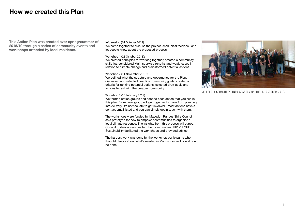### <span id="page-10-0"></span>How we created this Plan

This Action Plan was created over spring/summer of 2018/19 through a series of community events and workshops attended by local residents.

Info session (14 October 2018):

We came together to discuss the project, seek initial feedback and let people know about the proposed process.

We created principles for working together, created a community skills list, considered Malmsbury's strengths and weaknesses in relation to climate change and brainstormed potential actions.

Workshop 1 (28 October 2018):

Workshop 2 (11 November 2018):

We defined what the structure and governance for the Plan, discussed and selected headline community goals, created a criteria for ranking potential actions, selected draft goals and actions to test with the broader community.

Workshop 3 (10 February 2019):

We formed action groups and scoped each action that you see in this plan. From here, group will get together to move from planning into delivery. It's not too late to get involved - most actions have a contact email listed and you can simply get in touch with them.

The workshops were funded by Macedon Ranges Shire Council as a prototype for how to empower communities to organise a local climate response. The insights from this process will support Council to deliver services to other communities. HIP V. HYPE Sustainability facilitated the workshops and provided advice.

The hardest work was done by the workshop participants who thought deeply about what's needed in Malmsbury and how it could be done.



WE HELD A COMMUNITY INFO SESSION ON THE 14 OCTOBER 2018.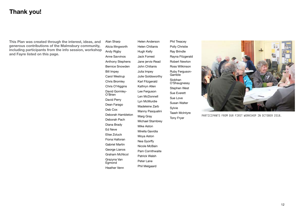Alan Sharp Alicia Illingworth Andy Rigby Anne Savvinos Anthony Stephens Bernice Snowden Bill Impey Carol Westrup Chris Bromley Chris O'Higgins David Gormley-O'Brien David Perry Dean Farago Deb Cox Deborah Hambleton Deborah Pach Diana Brady Ed Neve Elise Zoluck Fiona Halloran Gabriel Martin George Lianos Graham McNicol Grazyna Van Egmond Heather Venn

Helen Anderson Helen Chilianis Hugh Kelly Jack Forrest Jane jervis-Read John Chilianis Julia Impey Julie Goldsworthy Karl Fitzgerald Kathryn Allen Lee Ferguson Len McDonnell Lyn McMurdie Madeleine Zarb Manny Pasqualini Marg Gray Michael Stambrey Mike Aston Mirella Gavidia Moya Aston Nea Gyorffy Nicole McBain Pam Cornthwaite Patrick Walsh Peter Lane Phil Melgaard

Phil Treacey Polly Christie Ray Brindle Rayna Fitzgerald Robert Newton Ross Wilkinson Ruby Ferguson-Gamble Siobhan O'Shaugnessy Stephen West Sue Everett Sue Love Susan Walter Sylvie Taash McIntyre Tony Fryer



### <span id="page-11-0"></span>Thank you!

This Plan was created through the interest, ideas, and generous contributions of the Malmsbury community, including participants from the info session, workshop and Fayre listed on this page.

PARTICIPANTS FROM OUR FIRST WORKSHOP IN OCTOBER 2018.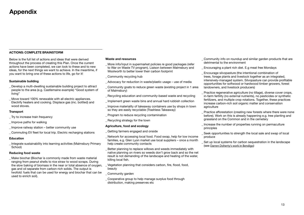# <span id="page-12-0"></span>Appendix

### ACTIONS: COMPLETE BRAINSTORM

Below is the full list of actions and ideas that were derived throughout the process of creating this Plan. Once the current actions have been completed, we can look to these and to new ideas, for the next things we want to achieve. In the meantime, if you want to bring one of these actions to life, go for it!

#### Sustainable building

- \_ Develop a multi-dwelling sustainable building project to attract people to the area (e.g. Castlemaine example) "Good system of living"
- \_ Move toward 100% renewable with all electric appliances. Electrify heaters and cooking. Displace gas (inc. bottled) and wood stoves.

#### **Transport**

Make biochar (Biochar is commonly made from waste material ranging from peanut shells to rice straw to wood scraps. During the slow baking of biomass in the near or total absence of oxygen. gas and oil separate from carbon-rich solids. The output is twofold: fuels that can be used for energy and biochar that can be used to enrich soil).

- \_ Try to increase train frequency
- \_ Improve paths for walking
- Improve railway station better community use
- \_ Commuting EV fleet for local trip. Electric recharging stations

#### Education

\_ Integrate sustainability into learning activities (Malmsbury Primary School)

#### Reducing food waste

- More info/input in supermarket policies re good packages (refer to War on Waste TV program). Liaison between Malmsbury and Woolworth to better lower their carbon footprint
- \_ Community recycling hub
- Advocacy for reduction in waste/plastic usage use of media
- \_ Community goats to reduce green waste (existing project in 1 area of Malmsbury)
- \_ Recycling education and community-based waste and recycling
- \_ Implement green waste bins and annual hard rubbish collection
- Improve materiality of takeaway containers use by shops in town so they are easily recyclable (Trashless Takeaway)
- Program to reduce recycling contamination
- \_ Recycling strategy for the town

#### Waste and resources

Practice regenerative agriculture (no tillage), diverse cover crops, in-farm fertility (no external nutrients), no pesticides or synthetic fertilizers, and multiple crop rotations. Together, these practices increase carbon-rich soil organic matter and conservation

#### Agriculture, food and ecology

- \_ Getting farmers engaged and onside
- \_ Network for accessing local food. Food swap, help for low income families, e.g. Glen Lyon market use local suppliers – once a month help create community contacts
- \_ Better planning to replace willows and weeds immediately with native planning on rivers so weeds don't grow back and so the net result is not demanding of the landscape and heating of the water, killing local fish.
- \_ Vegetation planning that considers carbon, fire, flood, food, beauty
- \_ Community garden
- \_ Cooperative group to help manage surplus food through distribution, making preserves etc

\_ Community info on roundup and similar garden products that are

\_ Encouraging a plant rich diet. E.g meat free Mondays

\_ Encourage silvopasture (the intentional combination of trees, forage plants and livestock together as an integrated, intensively-managed system. Silvopasture can provide profitable opportunities for softwood or hardwood timber growers, forest

- detrimental to the environment
- 
- landowners, and livestock producers)
- agriculture
- 
- principles
- produce
- (see [Darren Doherty's work in Bendigo](https://vimeo.com/154090332))

\_ Practice afforestation (creating new forests where there were none before). Work on this is already happening e.g. tree planting and grassland on the Common and in the cemetery

Increase the number of properties running on permaculture

\_ Seek opportunities to strength the local sale and swap of local

\_ Set up local systems for carbon sequestration in the landscape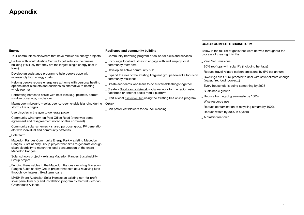#### Energy

- \_ Tour communities elsewhere that have renewable energy projects
- \_ Partner with Youth Justice Centre to get solar on their (new) building (it's likely that they are the largest single energy user in town)
- \_ Develop an assistance program to help people cope with increasingly high energy costs
- \_ Helping people reduce energy use at home with personal heating options (heat blankets and cushions as alternative to heating whole rooms)
- \_ Retrofitting homes to assist with heat loss (e.g. pelmets, correct window coverings, insulation)
- \_ Malmsbury microgrid solar, peer-to-peer, enable islanding during storm / fire outages
- \_ Use bicycles in the gym to generate power
- \_ Community wind farm on Post Office Road (there was some agreement and disagreement noted on this comment)
- \_ Community solar schemes shared purpose, group PV generation etc with individual and community batteries
- Solar farm
- \_ Macedon Ranges Community Energy Park existing Macedon Ranges Sustainability Group project that aims to generate enough clean electricity to match the local consumption of the entire Macedon Ranges.
- \_ Solar schools project existing Macedon Ranges Sustainability Group project
- \_ Funding Renewables in the Macedon Ranges existing Macedon Ranges Sustainability Group project that sets up a revolving fund through low interest, fixed term loans
- \_ MASH (More Australian Solar Homes) an existing non-for-profit solar panel bulk buy and installation program by Central Victorian Greenhouse Alliance
- \_ Community bartering program or co-op for skills and services
- \_ Encourage local industries to engage with and employ local community members
- \_ Develop an active community hub
- \_ Expand the role of the existing fireguard groups toward a focus on community resilience
- \_ Create eco teams who learn to do sustainable things together
- \_ Create a [Good Karma Network](http://www.goodkarmaeffect.com/networks/) social network for the region using Facebook or another social media platform
- **Start a local [Casserole Club](https://www.casseroleclub.com.au/) using the existing free online program**
- 

**Other** 

Ban petrol leaf blowers for council cleaning

#### Resilience and community building

### GOALS: COMPLETE BRAINSTORM

Below is the full list of goals that were derived throughout the

\_ 80% rooftops with solar PV (including heritage)

- process of creating this Plan.
- \_ Zero Net Emissions
- 
- Reduce travel-related carbon emissions by 5% per annum
- \_ Dwellings are future-proofed to deal with sever climate change (water, fire, food, power…)
- \_ Every household is doing something by 2025
- Sustainable growth
- Reduce burning of greenwaste by 100%
- \_ Wise resource use
- Reduce contamination of recycling stream by 100%
- \_ Reduce waste by 80% in 5 years
- \_ A plastic free town

### <span id="page-13-0"></span>Appendix